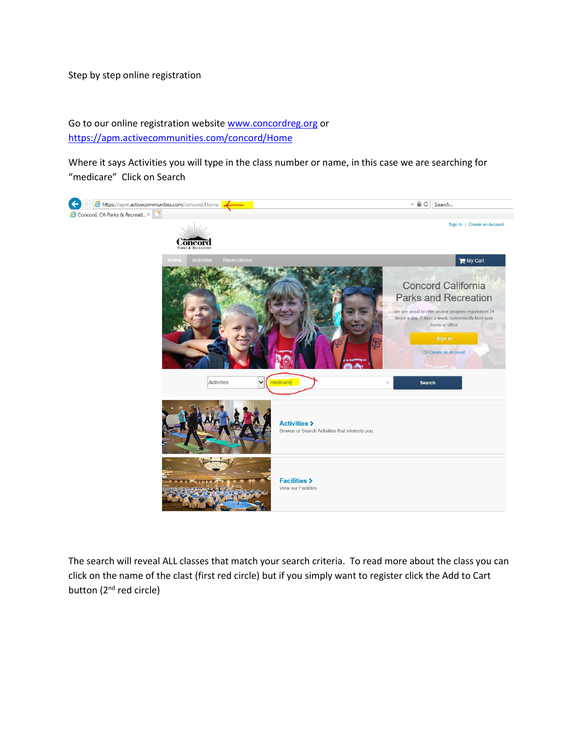Step by step online registration

Go to our online registration website [www.concordreg.org](http://www.concordreg.org/) or <https://apm.activecommunities.com/concord/Home>

Where it says Activities you will type in the class number or name, in this case we are searching for "medicare" Click on Search



The search will reveal ALL classes that match your search criteria. To read more about the class you can click on the name of the clast (first red circle) but if you simply want to register click the Add to Cart button (2<sup>nd</sup> red circle)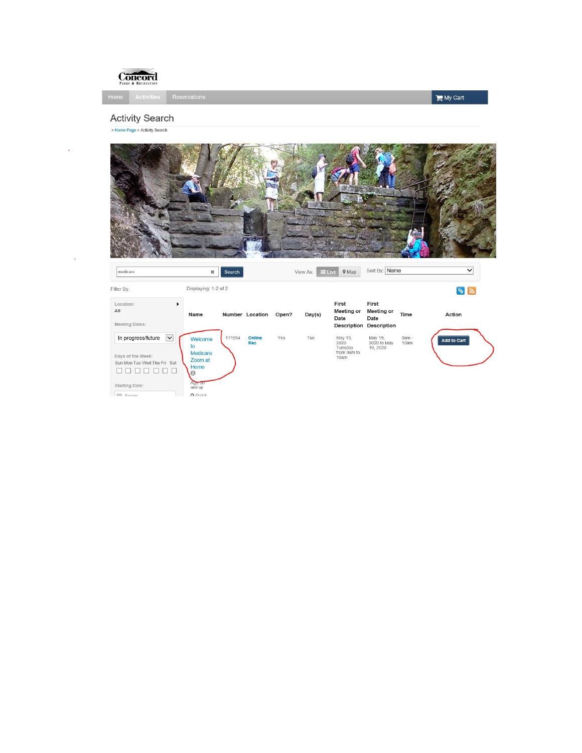

 $My$  Cart

## **Activity Search**

> Home Page > Activity Search

k.

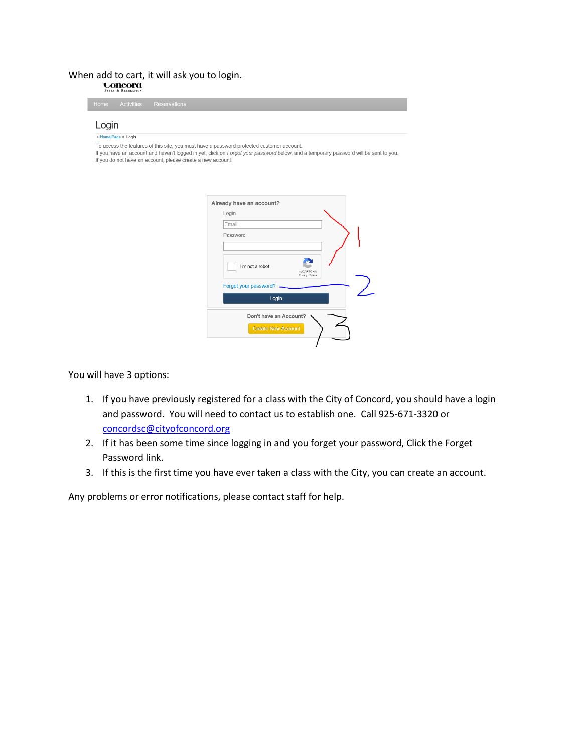## When add to cart, it will ask you to login.<br> $\sum_{\text{MAM}}$  & REGRATION

| > Home Page > Login                                         |                                                                                                                                                                                                                                   |
|-------------------------------------------------------------|-----------------------------------------------------------------------------------------------------------------------------------------------------------------------------------------------------------------------------------|
| If you do not have an account, please create a new account. | To access the features of this site, you must have a password-protected customer account.<br>If you have an account and haven't logged in yet, click on Forgot your password below, and a temporary password will be sent to you. |
|                                                             | Already have an account?                                                                                                                                                                                                          |
|                                                             | Login                                                                                                                                                                                                                             |
|                                                             | Email                                                                                                                                                                                                                             |
|                                                             | Password                                                                                                                                                                                                                          |
|                                                             | I'm not a robot<br>reCAPTCHA<br>Privacy - Terms                                                                                                                                                                                   |
|                                                             | Forgot your password?                                                                                                                                                                                                             |
|                                                             | Login                                                                                                                                                                                                                             |
|                                                             | Don't have an Account?                                                                                                                                                                                                            |
|                                                             | <b>Create New Account</b>                                                                                                                                                                                                         |

You will have 3 options:

- 1. If you have previously registered for a class with the City of Concord, you should have a login and password. You will need to contact us to establish one. Call 925-671-3320 or [concordsc@cityofconcord.org](mailto:concordsc@cityofconcord.org)
- 2. If it has been some time since logging in and you forget your password, Click the Forget Password link.
- 3. If this is the first time you have ever taken a class with the City, you can create an account.

Any problems or error notifications, please contact staff for help.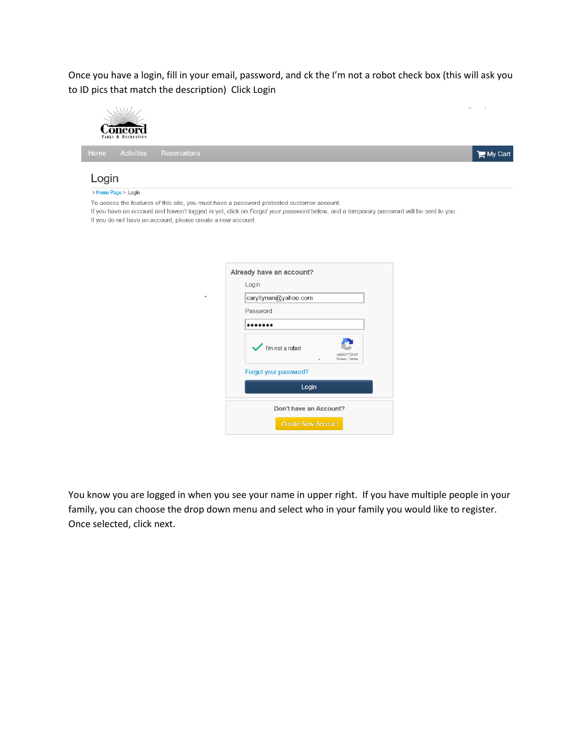Once you have a login, fill in your email, password, and ck the I'm not a robot check box (this will ask you to ID pics that match the description) Click Login

| Home  | <b>Activities</b>   | Reservations                                                                                                                                                                                                                                                                                     | My Cart |
|-------|---------------------|--------------------------------------------------------------------------------------------------------------------------------------------------------------------------------------------------------------------------------------------------------------------------------------------------|---------|
| Login |                     |                                                                                                                                                                                                                                                                                                  |         |
|       | > Home Page > Login |                                                                                                                                                                                                                                                                                                  |         |
|       |                     | To access the features of this site, you must have a password-protected customer account.<br>If you have an account and haven't logged in yet, click on Forgot your password below, and a temporary password will be sent to you.<br>If you do not have an account, please create a new account. |         |
|       |                     | Already have an account?                                                                                                                                                                                                                                                                         |         |
|       |                     | Login                                                                                                                                                                                                                                                                                            |         |
|       |                     | caryltynan@yahoo.com                                                                                                                                                                                                                                                                             |         |
|       |                     | Password                                                                                                                                                                                                                                                                                         |         |
|       |                     |                                                                                                                                                                                                                                                                                                  |         |
|       |                     | I'm not a robot<br>reCAPTCHA<br>Privacy - Terms                                                                                                                                                                                                                                                  |         |
|       |                     | Forgot your password?                                                                                                                                                                                                                                                                            |         |
|       |                     | Login                                                                                                                                                                                                                                                                                            |         |

You know you are logged in when you see your name in upper right. If you have multiple people in your family, you can choose the drop down menu and select who in your family you would like to register. Once selected, click next.

Don't have an Account? Create New Account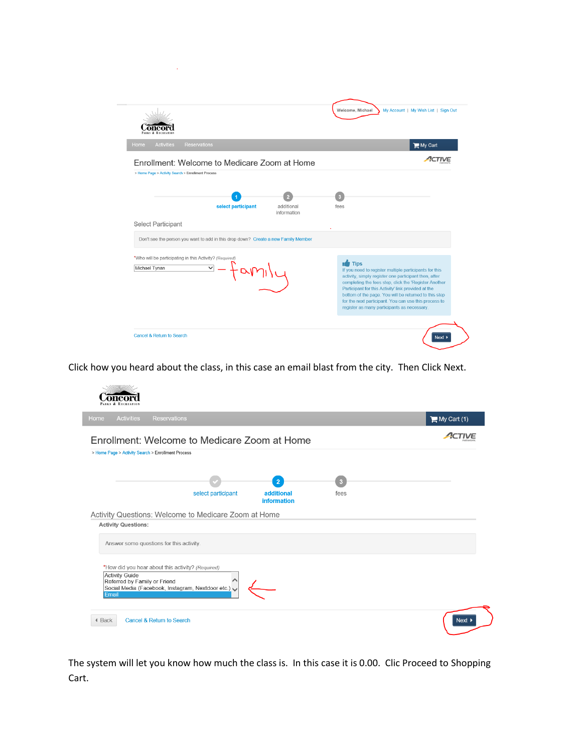|                                                    |                                                                                    |             | Welcome, Michael<br>My Account   My Wish List   Sign Out |
|----------------------------------------------------|------------------------------------------------------------------------------------|-------------|----------------------------------------------------------|
| <b>Activities</b><br>Home                          | <b>Reservations</b>                                                                |             | $\blacksquare$ My Cart                                   |
|                                                    | Enrollment: Welcome to Medicare Zoom at Home                                       |             |                                                          |
| > Home Page > Activity Search > Enrollment Process |                                                                                    |             |                                                          |
|                                                    |                                                                                    |             |                                                          |
|                                                    |                                                                                    |             |                                                          |
|                                                    | select participant                                                                 | additional  | ĸ<br>fees                                                |
|                                                    |                                                                                    | information |                                                          |
| <b>Select Participant</b>                          | Don't see the person you want to add in this drop down? Create a new Family Member |             |                                                          |

Click how you heard about the class, in this case an email blast from the city. Then Click Next.

|                                                                        |                    |                    |      | $My$ Cart (1) |
|------------------------------------------------------------------------|--------------------|--------------------|------|---------------|
| Enrollment: Welcome to Medicare Zoom at Home                           |                    |                    |      |               |
| > Home Page > Activity Search > Enrollment Process                     |                    |                    |      |               |
|                                                                        |                    |                    |      |               |
|                                                                        |                    | $\overline{2}$     | R    |               |
|                                                                        | select participant | additional         | fees |               |
|                                                                        |                    | <b>information</b> |      |               |
| Activity Questions: Welcome to Medicare Zoom at Home                   |                    |                    |      |               |
|                                                                        |                    |                    |      |               |
|                                                                        |                    |                    |      |               |
|                                                                        |                    |                    |      |               |
| <b>Activity Questions:</b><br>Answer some questions for this activity. |                    |                    |      |               |
|                                                                        |                    |                    |      |               |
| *How did you hear about this activity? (Required)                      |                    |                    |      |               |
| <b>Activity Guide</b><br>Referred by Family or Friend                  |                    |                    |      |               |
| Social Media (Facebook, Instagram, Nextdoor etc.)<br>Email             |                    |                    |      |               |

The system will let you know how much the class is. In this case it is 0.00. Clic Proceed to Shopping Cart.